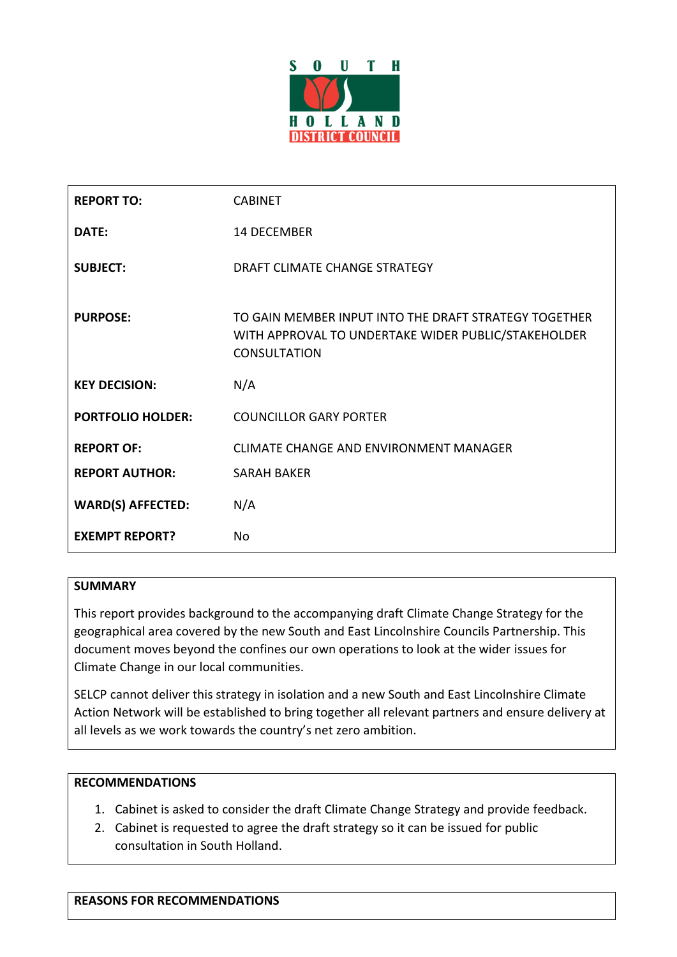

| <b>REPORT TO:</b>        | <b>CABINET</b>                                                                                                                      |
|--------------------------|-------------------------------------------------------------------------------------------------------------------------------------|
| DATE:                    | <b>14 DECEMBER</b>                                                                                                                  |
| <b>SUBJECT:</b>          | DRAFT CLIMATE CHANGE STRATEGY                                                                                                       |
| <b>PURPOSE:</b>          | TO GAIN MEMBER INPUT INTO THE DRAFT STRATEGY TOGETHER<br>WITH APPROVAL TO UNDERTAKE WIDER PUBLIC/STAKEHOLDER<br><b>CONSULTATION</b> |
| <b>KEY DECISION:</b>     | N/A                                                                                                                                 |
| <b>PORTFOLIO HOLDER:</b> | <b>COUNCILLOR GARY PORTER</b>                                                                                                       |
| <b>REPORT OF:</b>        | <b>CLIMATE CHANGE AND ENVIRONMENT MANAGER</b>                                                                                       |
| <b>REPORT AUTHOR:</b>    | <b>SARAH BAKER</b>                                                                                                                  |
| <b>WARD(S) AFFECTED:</b> | N/A                                                                                                                                 |
| <b>EXEMPT REPORT?</b>    | No                                                                                                                                  |

## **SUMMARY**

This report provides background to the accompanying draft Climate Change Strategy for the geographical area covered by the new South and East Lincolnshire Councils Partnership. This document moves beyond the confines our own operations to look at the wider issues for Climate Change in our local communities.

SELCP cannot deliver this strategy in isolation and a new South and East Lincolnshire Climate Action Network will be established to bring together all relevant partners and ensure delivery at all levels as we work towards the country's net zero ambition.

#### **RECOMMENDATIONS**

- 1. Cabinet is asked to consider the draft Climate Change Strategy and provide feedback.
- 2. Cabinet is requested to agree the draft strategy so it can be issued for public consultation in South Holland.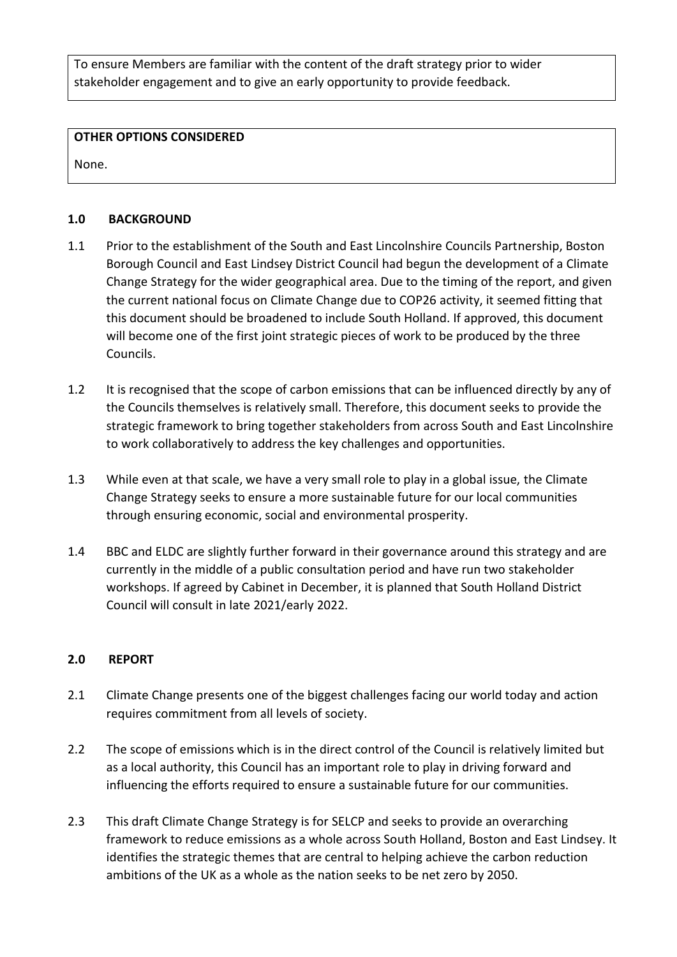To ensure Members are familiar with the content of the draft strategy prior to wider stakeholder engagement and to give an early opportunity to provide feedback.

### **OTHER OPTIONS CONSIDERED**

None.

## **1.0 BACKGROUND**

- 1.1 Prior to the establishment of the South and East Lincolnshire Councils Partnership, Boston Borough Council and East Lindsey District Council had begun the development of a Climate Change Strategy for the wider geographical area. Due to the timing of the report, and given the current national focus on Climate Change due to COP26 activity, it seemed fitting that this document should be broadened to include South Holland. If approved, this document will become one of the first joint strategic pieces of work to be produced by the three Councils.
- 1.2 It is recognised that the scope of carbon emissions that can be influenced directly by any of the Councils themselves is relatively small. Therefore, this document seeks to provide the strategic framework to bring together stakeholders from across South and East Lincolnshire to work collaboratively to address the key challenges and opportunities.
- 1.3 While even at that scale, we have a very small role to play in a global issue, the Climate Change Strategy seeks to ensure a more sustainable future for our local communities through ensuring economic, social and environmental prosperity.
- 1.4 BBC and ELDC are slightly further forward in their governance around this strategy and are currently in the middle of a public consultation period and have run two stakeholder workshops. If agreed by Cabinet in December, it is planned that South Holland District Council will consult in late 2021/early 2022.

## **2.0 REPORT**

- 2.1 Climate Change presents one of the biggest challenges facing our world today and action requires commitment from all levels of society.
- 2.2 The scope of emissions which is in the direct control of the Council is relatively limited but as a local authority, this Council has an important role to play in driving forward and influencing the efforts required to ensure a sustainable future for our communities.
- 2.3 This draft Climate Change Strategy is for SELCP and seeks to provide an overarching framework to reduce emissions as a whole across South Holland, Boston and East Lindsey. It identifies the strategic themes that are central to helping achieve the carbon reduction ambitions of the UK as a whole as the nation seeks to be net zero by 2050.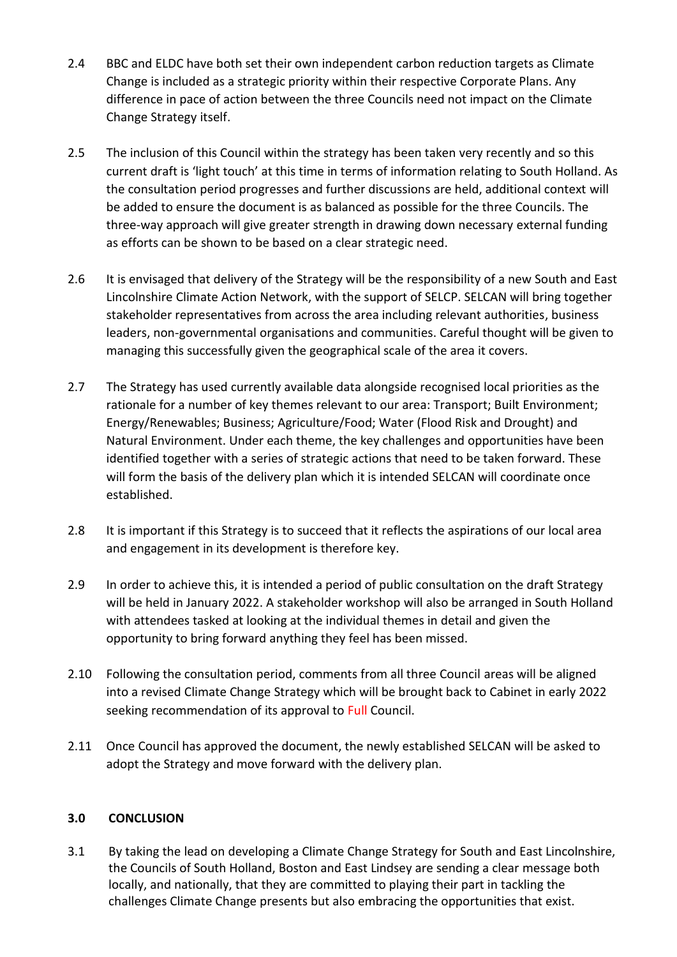- 2.4 BBC and ELDC have both set their own independent carbon reduction targets as Climate Change is included as a strategic priority within their respective Corporate Plans. Any difference in pace of action between the three Councils need not impact on the Climate Change Strategy itself.
- 2.5 The inclusion of this Council within the strategy has been taken very recently and so this current draft is 'light touch' at this time in terms of information relating to South Holland. As the consultation period progresses and further discussions are held, additional context will be added to ensure the document is as balanced as possible for the three Councils. The three-way approach will give greater strength in drawing down necessary external funding as efforts can be shown to be based on a clear strategic need.
- 2.6 It is envisaged that delivery of the Strategy will be the responsibility of a new South and East Lincolnshire Climate Action Network, with the support of SELCP. SELCAN will bring together stakeholder representatives from across the area including relevant authorities, business leaders, non-governmental organisations and communities. Careful thought will be given to managing this successfully given the geographical scale of the area it covers.
- 2.7 The Strategy has used currently available data alongside recognised local priorities as the rationale for a number of key themes relevant to our area: Transport; Built Environment; Energy/Renewables; Business; Agriculture/Food; Water (Flood Risk and Drought) and Natural Environment. Under each theme, the key challenges and opportunities have been identified together with a series of strategic actions that need to be taken forward. These will form the basis of the delivery plan which it is intended SELCAN will coordinate once established.
- 2.8 It is important if this Strategy is to succeed that it reflects the aspirations of our local area and engagement in its development is therefore key.
- 2.9 In order to achieve this, it is intended a period of public consultation on the draft Strategy will be held in January 2022. A stakeholder workshop will also be arranged in South Holland with attendees tasked at looking at the individual themes in detail and given the opportunity to bring forward anything they feel has been missed.
- 2.10 Following the consultation period, comments from all three Council areas will be aligned into a revised Climate Change Strategy which will be brought back to Cabinet in early 2022 seeking recommendation of its approval to Full Council.
- 2.11 Once Council has approved the document, the newly established SELCAN will be asked to adopt the Strategy and move forward with the delivery plan.

# **3.0 CONCLUSION**

3.1 By taking the lead on developing a Climate Change Strategy for South and East Lincolnshire, the Councils of South Holland, Boston and East Lindsey are sending a clear message both locally, and nationally, that they are committed to playing their part in tackling the challenges Climate Change presents but also embracing the opportunities that exist.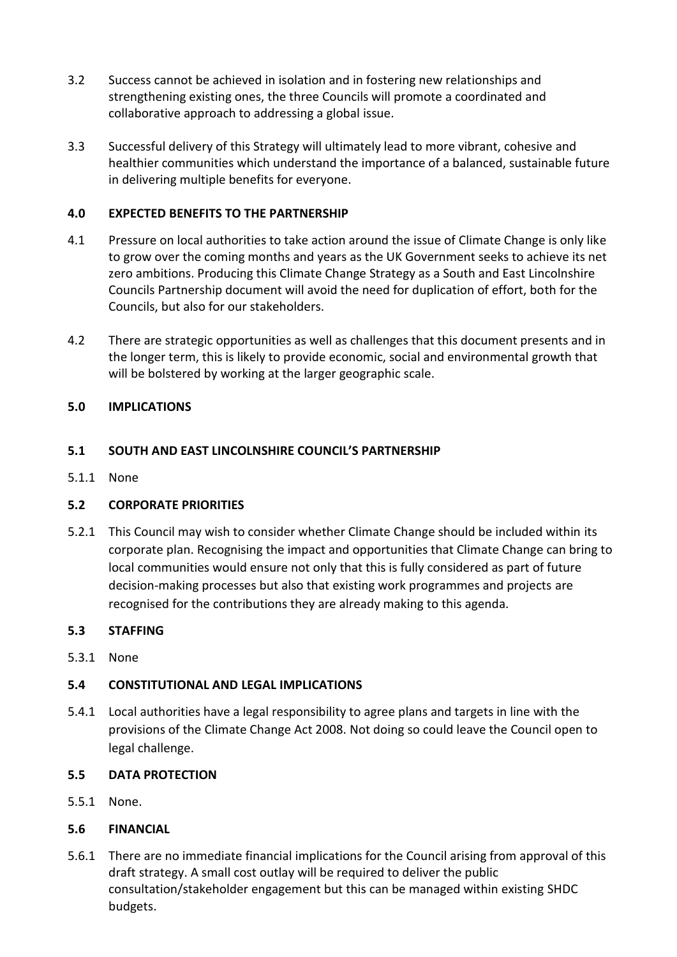- 3.2 Success cannot be achieved in isolation and in fostering new relationships and strengthening existing ones, the three Councils will promote a coordinated and collaborative approach to addressing a global issue.
- 3.3 Successful delivery of this Strategy will ultimately lead to more vibrant, cohesive and healthier communities which understand the importance of a balanced, sustainable future in delivering multiple benefits for everyone.

## **4.0 EXPECTED BENEFITS TO THE PARTNERSHIP**

- 4.1 Pressure on local authorities to take action around the issue of Climate Change is only like to grow over the coming months and years as the UK Government seeks to achieve its net zero ambitions. Producing this Climate Change Strategy as a South and East Lincolnshire Councils Partnership document will avoid the need for duplication of effort, both for the Councils, but also for our stakeholders.
- 4.2 There are strategic opportunities as well as challenges that this document presents and in the longer term, this is likely to provide economic, social and environmental growth that will be bolstered by working at the larger geographic scale.

### **5.0 IMPLICATIONS**

### **5.1 SOUTH AND EAST LINCOLNSHIRE COUNCIL'S PARTNERSHIP**

5.1.1 None

#### **5.2 CORPORATE PRIORITIES**

5.2.1 This Council may wish to consider whether Climate Change should be included within its corporate plan. Recognising the impact and opportunities that Climate Change can bring to local communities would ensure not only that this is fully considered as part of future decision-making processes but also that existing work programmes and projects are recognised for the contributions they are already making to this agenda.

#### **5.3 STAFFING**

5.3.1 None

#### **5.4 CONSTITUTIONAL AND LEGAL IMPLICATIONS**

5.4.1 Local authorities have a legal responsibility to agree plans and targets in line with the provisions of the Climate Change Act 2008. Not doing so could leave the Council open to legal challenge.

#### **5.5 DATA PROTECTION**

5.5.1 None.

## **5.6 FINANCIAL**

5.6.1 There are no immediate financial implications for the Council arising from approval of this draft strategy. A small cost outlay will be required to deliver the public consultation/stakeholder engagement but this can be managed within existing SHDC budgets.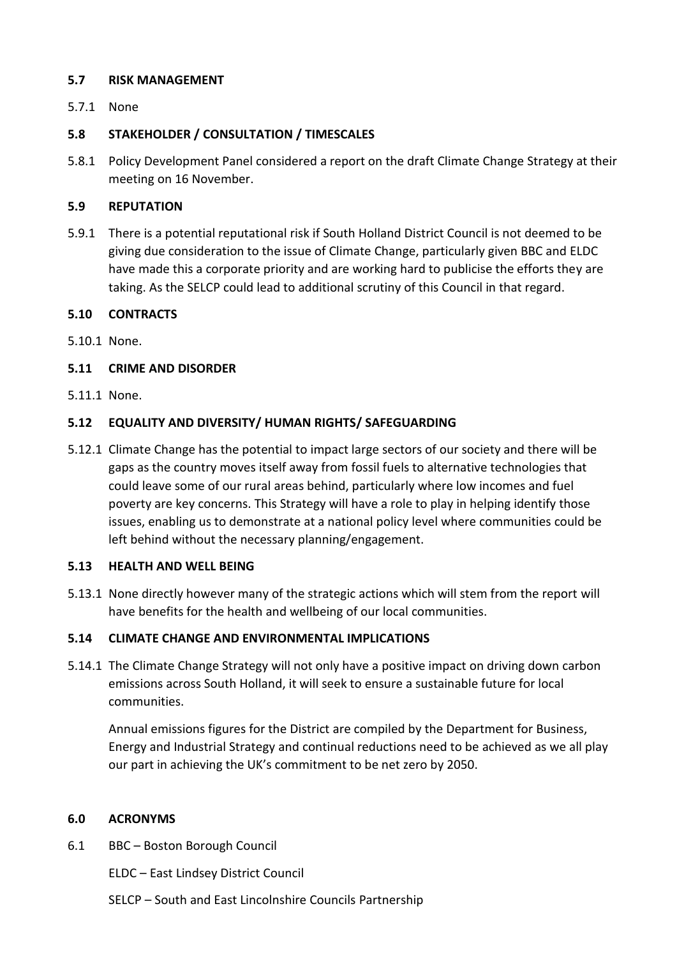### **5.7 RISK MANAGEMENT**

## 5.7.1 None

## **5.8 STAKEHOLDER / CONSULTATION / TIMESCALES**

5.8.1 Policy Development Panel considered a report on the draft Climate Change Strategy at their meeting on 16 November.

### **5.9 REPUTATION**

5.9.1 There is a potential reputational risk if South Holland District Council is not deemed to be giving due consideration to the issue of Climate Change, particularly given BBC and ELDC have made this a corporate priority and are working hard to publicise the efforts they are taking. As the SELCP could lead to additional scrutiny of this Council in that regard.

### **5.10 CONTRACTS**

5.10.1 None.

### **5.11 CRIME AND DISORDER**

5.11.1 None.

### **5.12 EQUALITY AND DIVERSITY/ HUMAN RIGHTS/ SAFEGUARDING**

5.12.1 Climate Change has the potential to impact large sectors of our society and there will be gaps as the country moves itself away from fossil fuels to alternative technologies that could leave some of our rural areas behind, particularly where low incomes and fuel poverty are key concerns. This Strategy will have a role to play in helping identify those issues, enabling us to demonstrate at a national policy level where communities could be left behind without the necessary planning/engagement.

#### **5.13 HEALTH AND WELL BEING**

5.13.1 None directly however many of the strategic actions which will stem from the report will have benefits for the health and wellbeing of our local communities.

## **5.14 CLIMATE CHANGE AND ENVIRONMENTAL IMPLICATIONS**

5.14.1 The Climate Change Strategy will not only have a positive impact on driving down carbon emissions across South Holland, it will seek to ensure a sustainable future for local communities.

Annual emissions figures for the District are compiled by the Department for Business, Energy and Industrial Strategy and continual reductions need to be achieved as we all play our part in achieving the UK's commitment to be net zero by 2050.

#### **6.0 ACRONYMS**

6.1 BBC – Boston Borough Council

ELDC – East Lindsey District Council

SELCP – South and East Lincolnshire Councils Partnership